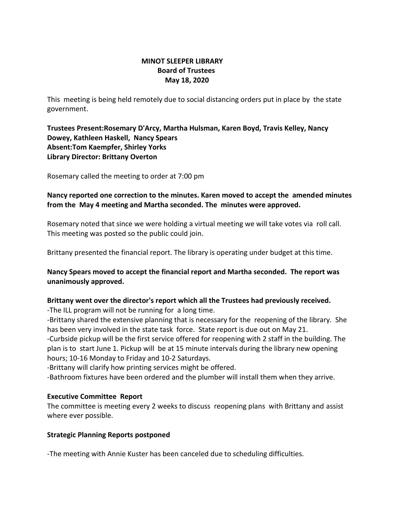# **MINOT SLEEPER LIBRARY Board of Trustees May 18, 2020**

This meeting is being held remotely due to social distancing orders put in place by the state government.

# **Trustees Present:Rosemary D'Arcy, Martha Hulsman, Karen Boyd, Travis Kelley, Nancy Dowey, Kathleen Haskell, Nancy Spears Absent:Tom Kaempfer, Shirley Yorks Library Director: Brittany Overton**

Rosemary called the meeting to order at 7:00 pm

# **Nancy reported one correction to the minutes. Karen moved to accept the amended minutes from the May 4 meeting and Martha seconded. The minutes were approved.**

Rosemary noted that since we were holding a virtual meeting we will take votes via roll call. This meeting was posted so the public could join.

Brittany presented the financial report. The library is operating under budget at this time.

# **Nancy Spears moved to accept the financial report and Martha seconded. The report was unanimously approved.**

#### **Brittany went over the director's report which all the Trustees had previously received.**  -The ILL program will not be running for a long time.

-Brittany shared the extensive planning that is necessary for the reopening of the library. She has been very involved in the state task force. State report is due out on May 21.

-Curbside pickup will be the first service offered for reopening with 2 staff in the building. The plan is to start June 1. Pickup will be at 15 minute intervals during the library new opening hours; 10-16 Monday to Friday and 10-2 Saturdays.

-Brittany will clarify how printing services might be offered.

-Bathroom fixtures have been ordered and the plumber will install them when they arrive.

# **Executive Committee Report**

The committee is meeting every 2 weeks to discuss reopening plans with Brittany and assist where ever possible.

#### **Strategic Planning Reports postponed**

-The meeting with Annie Kuster has been canceled due to scheduling difficulties.